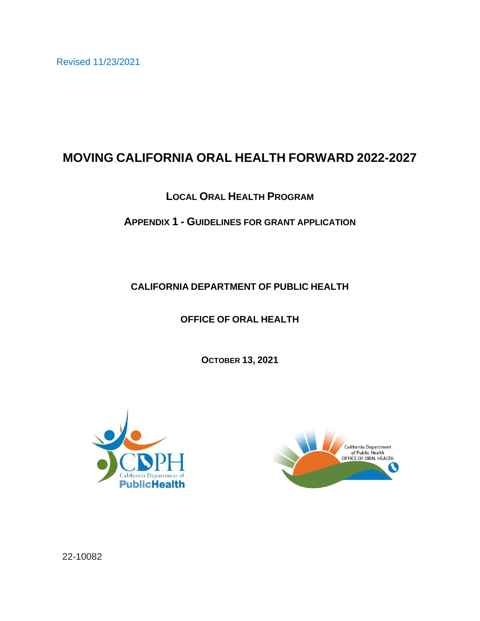Revised 11/23/2021

# **MOVING CALIFORNIA ORAL HEALTH FORWARD 2022-2027**

# **LOCAL ORAL HEALTH PROGRAM**

# **APPENDIX 1 - GUIDELINES FOR GRANT APPLICATION**

## **CALIFORNIA DEPARTMENT OF PUBLIC HEALTH**

# **OFFICE OF ORAL HEALTH**

**OCTOBER 13, 2021**





22-10082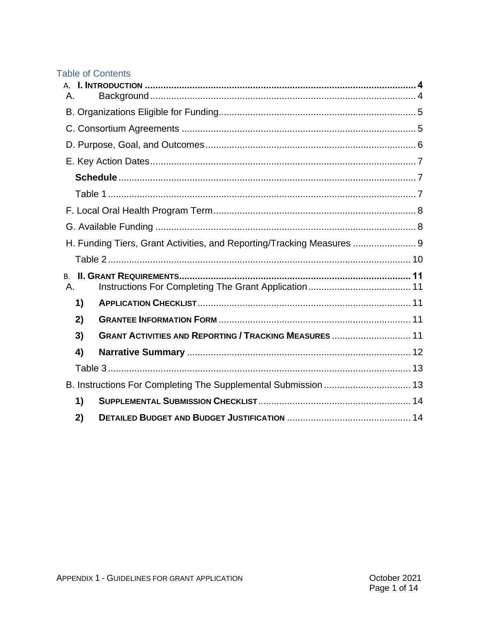## **Table of Contents**

| Α.                                                             |                                                                        |  |  |  |  |
|----------------------------------------------------------------|------------------------------------------------------------------------|--|--|--|--|
|                                                                |                                                                        |  |  |  |  |
|                                                                |                                                                        |  |  |  |  |
|                                                                |                                                                        |  |  |  |  |
|                                                                |                                                                        |  |  |  |  |
|                                                                |                                                                        |  |  |  |  |
|                                                                |                                                                        |  |  |  |  |
|                                                                |                                                                        |  |  |  |  |
|                                                                |                                                                        |  |  |  |  |
|                                                                | H. Funding Tiers, Grant Activities, and Reporting/Tracking Measures  9 |  |  |  |  |
|                                                                |                                                                        |  |  |  |  |
| <b>B.</b><br>Α.                                                |                                                                        |  |  |  |  |
| 1)                                                             |                                                                        |  |  |  |  |
| 2)                                                             |                                                                        |  |  |  |  |
| 3)                                                             | <b>GRANT ACTIVITIES AND REPORTING / TRACKING MEASURES  11</b>          |  |  |  |  |
| 4)                                                             |                                                                        |  |  |  |  |
|                                                                |                                                                        |  |  |  |  |
| B. Instructions For Completing The Supplemental Submission  13 |                                                                        |  |  |  |  |
| 1)                                                             |                                                                        |  |  |  |  |
| 2)                                                             |                                                                        |  |  |  |  |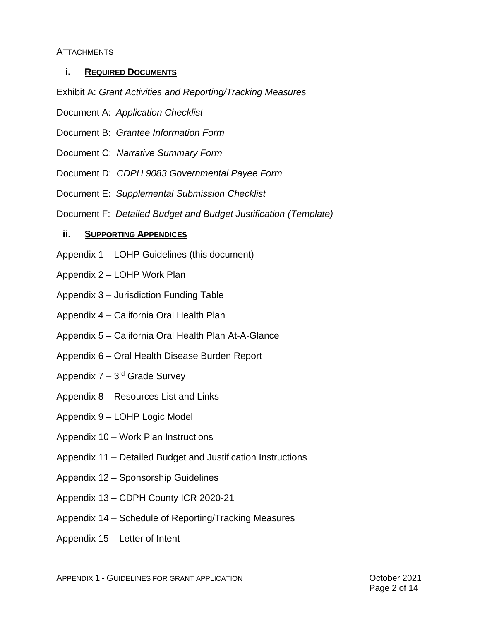#### **ATTACHMENTS**

## **i. REQUIRED DOCUMENTS**

Exhibit A: *Grant Activities and Reporting/Tracking Measures*

- Document A: *Application Checklist*
- Document B: *Grantee Information Form*
- Document C: *Narrative Summary Form*
- Document D: *CDPH 9083 Governmental Payee Form*
- Document E: *Supplemental Submission Checklist*
- Document F: *Detailed Budget and Budget Justification (Template)*

## **ii. SUPPORTING APPENDICES**

- Appendix 1 LOHP Guidelines (this document)
- Appendix 2 LOHP Work Plan
- Appendix 3 Jurisdiction Funding Table
- Appendix 4 California Oral Health Plan
- Appendix 5 California Oral Health Plan At-A-Glance
- Appendix 6 Oral Health Disease Burden Report
- Appendix 7 3<sup>rd</sup> Grade Survey
- Appendix 8 Resources List and Links
- Appendix 9 LOHP Logic Model
- Appendix 10 Work Plan Instructions
- Appendix 11 Detailed Budget and Justification Instructions
- Appendix 12 Sponsorship Guidelines
- Appendix 13 CDPH County ICR 2020-21
- Appendix 14 Schedule of Reporting/Tracking Measures
- Appendix 15 Letter of Intent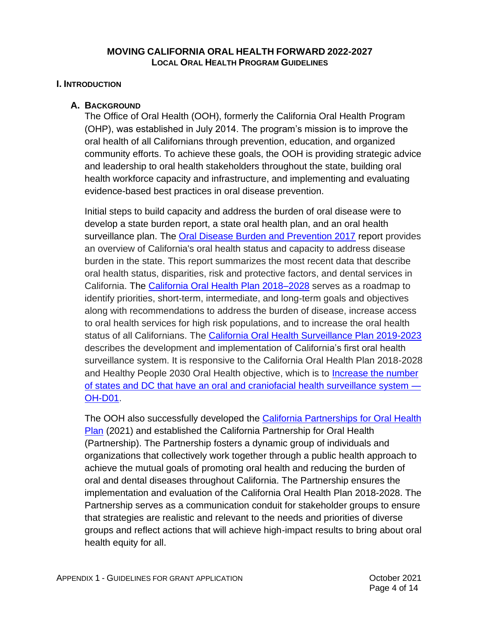## **MOVING CALIFORNIA ORAL HEALTH FORWARD 2022-2027 LOCAL ORAL HEALTH PROGRAM GUIDELINES**

## <span id="page-4-0"></span>**I. INTRODUCTION**

## <span id="page-4-1"></span>**A. BACKGROUND**

The Office of Oral Health (OOH), formerly the California Oral Health Program (OHP), was established in July 2014. The program's mission is to improve the oral health of all Californians through prevention, education, and organized community efforts. To achieve these goals, the OOH is providing strategic advice and leadership to oral health stakeholders throughout the state, building oral health workforce capacity and infrastructure, and implementing and evaluating evidence-based best practices in oral disease prevention.

Initial steps to build capacity and address the burden of oral disease were to develop a state burden report, a state oral health plan, and an oral health surveillance plan. The [Oral Disease Burden and Prevention 2017](https://www.cdph.ca.gov/Programs/CCDPHP/DCDIC/CDCB/CDPH%20Document%20Library/Oral%20Health%20Program/Status%20of%20Oral%20Health%20in%20California_FINAL_04.20.2017_ADA.pdf) report provides an overview of California's oral health status and capacity to address disease burden in the state. This report summarizes the most recent data that describe oral health status, disparities, risk and protective factors, and dental services in California. The [California Oral Health Plan 2018–2028](https://www.cdph.ca.gov/Programs/CCDPHP/DCDIC/CDCB/CDPH%20Document%20Library/Oral%20Health%20Program/FINAL%20REDESIGNED%20COHP-Oral-Health-Plan-ADA.pdf) serves as a roadmap to identify priorities, short-term, intermediate, and long-term goals and objectives along with recommendations to address the burden of disease, increase access to oral health services for high risk populations, and to increase the oral health status of all Californians. The [California Oral Health Surveillance Plan 2019-2023](https://www.cdph.ca.gov/Programs/CCDPHP/DCDIC/CDCB/CDPH%20Document%20Library/Oral%20Health%20Program/OH%20Surveillance%20Plan%20-%20ADA%209.25.2019.pdf) describes the development and implementation of California's first oral health surveillance system. It is responsive to the California Oral Health Plan 2018-2028 and Healthy People 2030 Oral Health objective, which is to [Increase the number](https://health.gov/healthypeople/objectives-and-data/browse-objectives/public-health-infrastructure/increase-number-states-and-dc-have-oral-and-craniofacial-health-surveillance-system-oh-d01)  [of states and DC that have an oral and craniofacial health surveillance system —](https://health.gov/healthypeople/objectives-and-data/browse-objectives/public-health-infrastructure/increase-number-states-and-dc-have-oral-and-craniofacial-health-surveillance-system-oh-d01) [OH-D01.](https://health.gov/healthypeople/objectives-and-data/browse-objectives/public-health-infrastructure/increase-number-states-and-dc-have-oral-and-craniofacial-health-surveillance-system-oh-d01)

The OOH also successfully developed the California Partnerships for Oral Health [Plan](https://www.cdph.ca.gov/Programs/CCDPHP/DCDIC/CDCB/CDPH%20Document%20Library/Oral%20Health%20Program/California_Partnership_for_Oral_Health_Plan_ADA_FINAL_6.15.2021.pdf) (2021) and established the California Partnership for Oral Health (Partnership). The Partnership fosters a dynamic group of individuals and organizations that collectively work together through a public health approach to achieve the mutual goals of promoting oral health and reducing the burden of oral and dental diseases throughout California. The Partnership ensures the implementation and evaluation of the California Oral Health Plan 2018-2028. The Partnership serves as a communication conduit for stakeholder groups to ensure that strategies are realistic and relevant to the needs and priorities of diverse groups and reflect actions that will achieve high-impact results to bring about oral health equity for all.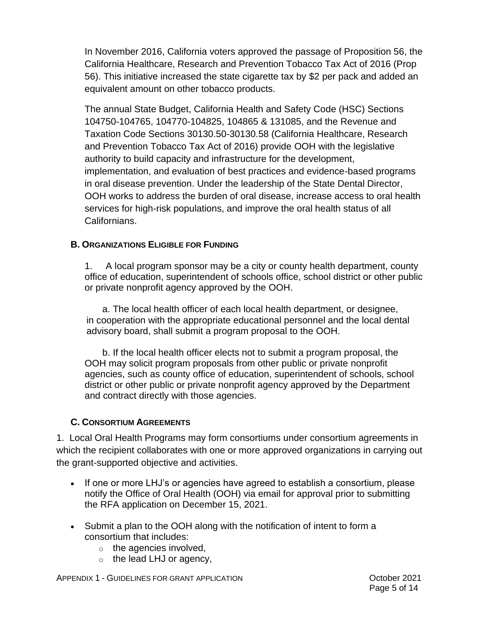In November 2016, California voters approved the passage of Proposition 56, the California Healthcare, Research and Prevention Tobacco Tax Act of 2016 (Prop 56). This initiative increased the state cigarette tax by \$2 per pack and added an equivalent amount on other tobacco products.

The annual State Budget, California Health and Safety Code (HSC) Sections 104750-104765, 104770-104825, 104865 & 131085, and the Revenue and Taxation Code Sections 30130.50-30130.58 (California Healthcare, Research and Prevention Tobacco Tax Act of 2016) provide OOH with the legislative authority to build capacity and infrastructure for the development, implementation, and evaluation of best practices and evidence-based programs in oral disease prevention. Under the leadership of the State Dental Director, OOH works to address the burden of oral disease, increase access to oral health services for high-risk populations, and improve the oral health status of all Californians.

## <span id="page-5-0"></span>**B. ORGANIZATIONS ELIGIBLE FOR FUNDING**

1. A local program sponsor may be a city or county health department, county office of education, superintendent of schools office, school district or other public or private nonprofit agency approved by the OOH.

a. The local health officer of each local health department, or designee, in cooperation with the appropriate educational personnel and the local dental advisory board, shall submit a program proposal to the OOH.

b. If the local health officer elects not to submit a program proposal, the OOH may solicit program proposals from other public or private nonprofit agencies, such as county office of education, superintendent of schools, school district or other public or private nonprofit agency approved by the Department and contract directly with those agencies.

## <span id="page-5-1"></span>**C. CONSORTIUM AGREEMENTS**

1. Local Oral Health Programs may form consortiums under consortium agreements in which the recipient collaborates with one or more approved organizations in carrying out the grant-supported objective and activities.

- If one or more LHJ's or agencies have agreed to establish a consortium, please notify the Office of Oral Health (OOH) via email for approval prior to submitting the RFA application on December 15, 2021.
- Submit a plan to the OOH along with the notification of intent to form a consortium that includes:
	- $\circ$  the agencies involved,
	- $\circ$  the lead LHJ or agency,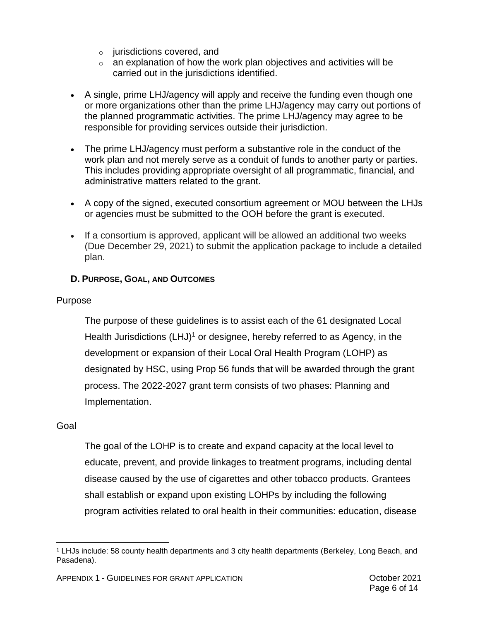- o jurisdictions covered, and
- $\circ$  an explanation of how the work plan objectives and activities will be carried out in the jurisdictions identified.
- A single, prime LHJ/agency will apply and receive the funding even though one or more organizations other than the prime LHJ/agency may carry out portions of the planned programmatic activities. The prime LHJ/agency may agree to be responsible for providing services outside their jurisdiction.
- The prime LHJ/agency must perform a substantive role in the conduct of the work plan and not merely serve as a conduit of funds to another party or parties. This includes providing appropriate oversight of all programmatic, financial, and administrative matters related to the grant.
- A copy of the signed, executed consortium agreement or MOU between the LHJs or agencies must be submitted to the OOH before the grant is executed.
- If a consortium is approved, applicant will be allowed an additional two weeks (Due December 29, 2021) to submit the application package to include a detailed plan.

# <span id="page-6-0"></span>**D. PURPOSE, GOAL, AND OUTCOMES**

## Purpose

The purpose of these guidelines is to assist each of the 61 designated Local Health Jurisdictions (LHJ)<sup>1</sup> or designee, hereby referred to as Agency, in the development or expansion of their Local Oral Health Program (LOHP) as designated by HSC, using Prop 56 funds that will be awarded through the grant process. The 2022-2027 grant term consists of two phases: Planning and Implementation.

## Goal

The goal of the LOHP is to create and expand capacity at the local level to educate, prevent, and provide linkages to treatment programs, including dental disease caused by the use of cigarettes and other tobacco products. Grantees shall establish or expand upon existing LOHPs by including the following program activities related to oral health in their communities: education, disease

<sup>1</sup> LHJs include: 58 county health departments and 3 city health departments (Berkeley, Long Beach, and Pasadena).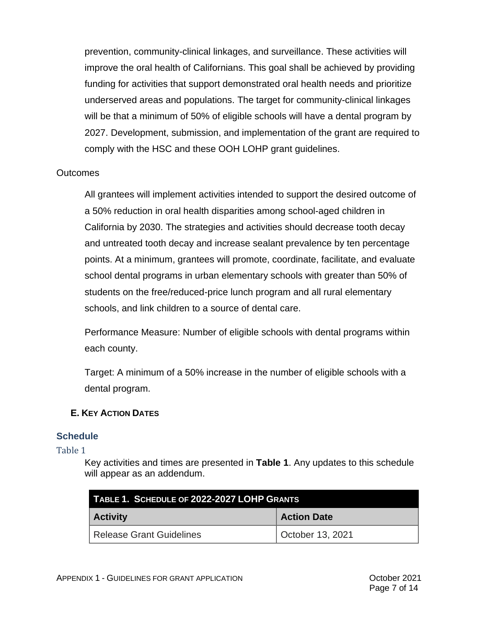prevention, community-clinical linkages, and surveillance. These activities will improve the oral health of Californians. This goal shall be achieved by providing funding for activities that support demonstrated oral health needs and prioritize underserved areas and populations. The target for community-clinical linkages will be that a minimum of 50% of eligible schools will have a dental program by 2027. Development, submission, and implementation of the grant are required to comply with the HSC and these OOH LOHP grant guidelines.

## **Outcomes**

All grantees will implement activities intended to support the desired outcome of a 50% reduction in oral health disparities among school-aged children in California by 2030. The strategies and activities should decrease tooth decay and untreated tooth decay and increase sealant prevalence by ten percentage points. At a minimum, grantees will promote, coordinate, facilitate, and evaluate school dental programs in urban elementary schools with greater than 50% of students on the free/reduced-price lunch program and all rural elementary schools, and link children to a source of dental care.

Performance Measure: Number of eligible schools with dental programs within each county.

Target: A minimum of a 50% increase in the number of eligible schools with a dental program.

## <span id="page-7-0"></span>**E. KEY ACTION DATES**

## <span id="page-7-1"></span>**Schedule**

<span id="page-7-2"></span>Table 1

Key activities and times are presented in **Table 1**. Any updates to this schedule will appear as an addendum.

| TABLE 1. SCHEDULE OF 2022-2027 LOHP GRANTS |                    |  |  |
|--------------------------------------------|--------------------|--|--|
| <b>Activity</b>                            | <b>Action Date</b> |  |  |
| <b>Release Grant Guidelines</b>            | October 13, 2021   |  |  |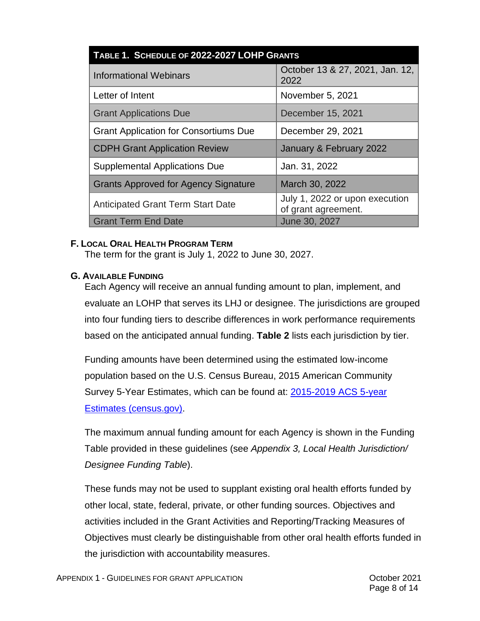| TABLE 1. SCHEDULE OF 2022-2027 LOHP GRANTS   |                                                       |  |  |
|----------------------------------------------|-------------------------------------------------------|--|--|
| <b>Informational Webinars</b>                | October 13 & 27, 2021, Jan. 12,<br>2022               |  |  |
| Letter of Intent                             | November 5, 2021                                      |  |  |
| <b>Grant Applications Due</b>                | December 15, 2021                                     |  |  |
| <b>Grant Application for Consortiums Due</b> | December 29, 2021                                     |  |  |
| <b>CDPH Grant Application Review</b>         | January & February 2022                               |  |  |
| <b>Supplemental Applications Due</b>         | Jan. 31, 2022                                         |  |  |
| <b>Grants Approved for Agency Signature</b>  | March 30, 2022                                        |  |  |
| <b>Anticipated Grant Term Start Date</b>     | July 1, 2022 or upon execution<br>of grant agreement. |  |  |
| <b>Grant Term End Date</b>                   | June 30, 2027                                         |  |  |

## <span id="page-8-0"></span>**F. LOCAL ORAL HEALTH PROGRAM TERM**

The term for the grant is July 1, 2022 to June 30, 2027.

## <span id="page-8-1"></span>**G. AVAILABLE FUNDING**

Each Agency will receive an annual funding amount to plan, implement, and evaluate an LOHP that serves its LHJ or designee. The jurisdictions are grouped into four funding tiers to describe differences in work performance requirements based on the anticipated annual funding. **Table 2** lists each jurisdiction by tier.

Funding amounts have been determined using the estimated low-income population based on the U.S. Census Bureau, 2015 American Community Survey 5-Year Estimates, which can be found at: [2015-2019 ACS 5-year](https://www.census.gov/programs-surveys/acs/technical-documentation/table-and-geography-changes/2019/5-year.html)  [Estimates \(census.gov\).](https://www.census.gov/programs-surveys/acs/technical-documentation/table-and-geography-changes/2019/5-year.html)

The maximum annual funding amount for each Agency is shown in the Funding Table provided in these guidelines (see *Appendix 3, Local Health Jurisdiction/ Designee Funding Table*).

These funds may not be used to supplant existing oral health efforts funded by other local, state, federal, private, or other funding sources. Objectives and activities included in the Grant Activities and Reporting/Tracking Measures of Objectives must clearly be distinguishable from other oral health efforts funded in the jurisdiction with accountability measures.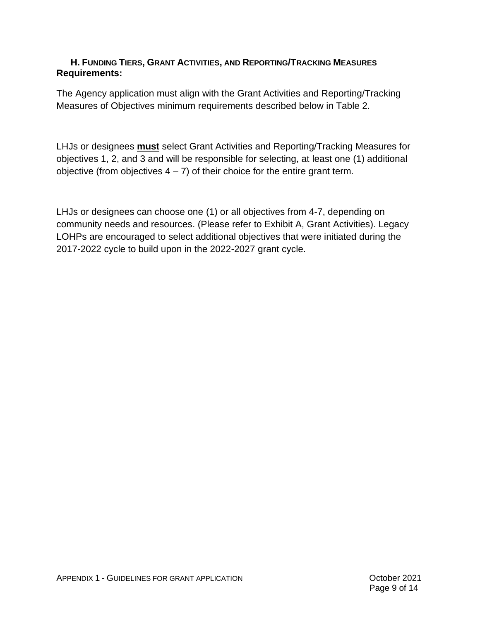## <span id="page-9-0"></span>**H. FUNDING TIERS, GRANT ACTIVITIES, AND REPORTING/TRACKING MEASURES Requirements:**

The Agency application must align with the Grant Activities and Reporting/Tracking Measures of Objectives minimum requirements described below in Table 2.

LHJs or designees **must** select Grant Activities and Reporting/Tracking Measures for objectives 1, 2, and 3 and will be responsible for selecting, at least one (1) additional objective (from objectives  $4 - 7$ ) of their choice for the entire grant term.

LHJs or designees can choose one (1) or all objectives from 4-7, depending on community needs and resources. (Please refer to Exhibit A, Grant Activities). Legacy LOHPs are encouraged to select additional objectives that were initiated during the 2017-2022 cycle to build upon in the 2022-2027 grant cycle.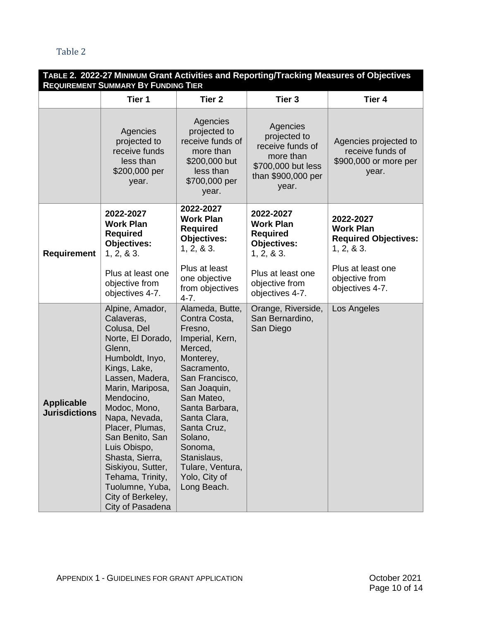<span id="page-10-0"></span>

| TABLE 2. 2022-27 MINIMUM Grant Activities and Reporting/Tracking Measures of Objectives<br><b>REQUIREMENT SUMMARY BY FUNDING TIER</b> |                                                                                                                                                                                                                                                                                                                                                                                    |                                                                                                                                                                                                                                                                                                |                                                                                                                |                                                                             |  |
|---------------------------------------------------------------------------------------------------------------------------------------|------------------------------------------------------------------------------------------------------------------------------------------------------------------------------------------------------------------------------------------------------------------------------------------------------------------------------------------------------------------------------------|------------------------------------------------------------------------------------------------------------------------------------------------------------------------------------------------------------------------------------------------------------------------------------------------|----------------------------------------------------------------------------------------------------------------|-----------------------------------------------------------------------------|--|
|                                                                                                                                       | Tier 1                                                                                                                                                                                                                                                                                                                                                                             | Tier <sub>2</sub>                                                                                                                                                                                                                                                                              | Tier <sub>3</sub>                                                                                              | Tier 4                                                                      |  |
|                                                                                                                                       | Agencies<br>projected to<br>receive funds<br>less than<br>\$200,000 per<br>year.                                                                                                                                                                                                                                                                                                   | Agencies<br>projected to<br>receive funds of<br>more than<br>\$200,000 but<br>less than<br>\$700,000 per<br>year.                                                                                                                                                                              | Agencies<br>projected to<br>receive funds of<br>more than<br>\$700,000 but less<br>than \$900,000 per<br>year. | Agencies projected to<br>receive funds of<br>\$900,000 or more per<br>year. |  |
| <b>Requirement</b>                                                                                                                    | 2022-2027<br><b>Work Plan</b><br><b>Required</b><br><b>Objectives:</b><br>1, 2, 8, 3.                                                                                                                                                                                                                                                                                              | 2022-2027<br><b>Work Plan</b><br><b>Required</b><br><b>Objectives:</b><br>1, 2, 8, 3.                                                                                                                                                                                                          | 2022-2027<br><b>Work Plan</b><br><b>Required</b><br><b>Objectives:</b><br>1, 2, 8, 3.                          | 2022-2027<br><b>Work Plan</b><br><b>Required Objectives:</b><br>1, 2, 8, 3. |  |
|                                                                                                                                       | Plus at least one<br>objective from<br>objectives 4-7.                                                                                                                                                                                                                                                                                                                             | Plus at least<br>one objective<br>from objectives<br>$4 - 7.$                                                                                                                                                                                                                                  | Plus at least one<br>objective from<br>objectives 4-7.                                                         | Plus at least one<br>objective from<br>objectives 4-7.                      |  |
| <b>Applicable</b><br><b>Jurisdictions</b>                                                                                             | Alpine, Amador,<br>Calaveras,<br>Colusa, Del<br>Norte, El Dorado,<br>Glenn,<br>Humboldt, Inyo,<br>Kings, Lake,<br>Lassen, Madera,<br>Marin, Mariposa,<br>Mendocino,<br>Modoc, Mono,<br>Napa, Nevada,<br>Placer, Plumas,<br>San Benito, San<br>Luis Obispo,<br>Shasta, Sierra,<br>Siskiyou, Sutter,<br>Tehama, Trinity,<br>Tuolumne, Yuba,<br>City of Berkeley,<br>City of Pasadena | Alameda, Butte,<br>Contra Costa,<br>Fresno,<br>Imperial, Kern,<br>Merced,<br>Monterey,<br>Sacramento,<br>San Francisco,<br>San Joaquin,<br>San Mateo,<br>Santa Barbara,<br>Santa Clara<br>Santa Cruz,<br>Solano,<br>Sonoma,<br>Stanislaus,<br>Tulare, Ventura,<br>Yolo, City of<br>Long Beach. | Orange, Riverside,<br>San Bernardino,<br>San Diego                                                             | Los Angeles                                                                 |  |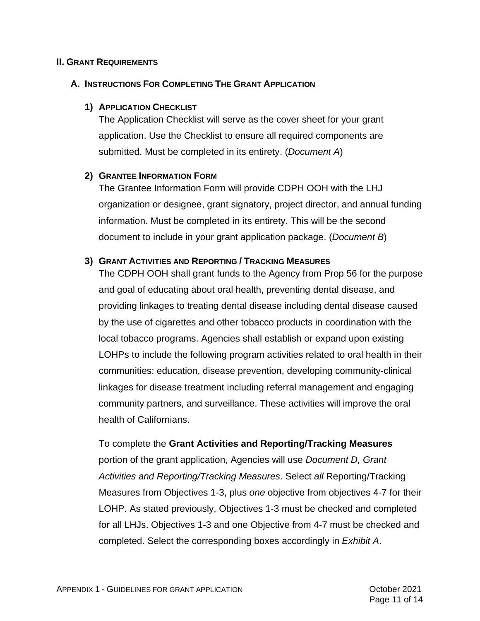#### <span id="page-11-0"></span>**II. GRANT REQUIREMENTS**

#### <span id="page-11-2"></span><span id="page-11-1"></span>**A. INSTRUCTIONS FOR COMPLETING THE GRANT APPLICATION**

#### **1) APPLICATION CHECKLIST**

The Application Checklist will serve as the cover sheet for your grant application. Use the Checklist to ensure all required components are submitted. Must be completed in its entirety. (*Document A*)

#### <span id="page-11-3"></span>**2) GRANTEE INFORMATION FORM**

The Grantee Information Form will provide CDPH OOH with the LHJ organization or designee, grant signatory, project director, and annual funding information. Must be completed in its entirety. This will be the second document to include in your grant application package. (*Document B*)

#### <span id="page-11-4"></span>**3) GRANT ACTIVITIES AND REPORTING / TRACKING MEASURES**

The CDPH OOH shall grant funds to the Agency from Prop 56 for the purpose and goal of educating about oral health, preventing dental disease, and providing linkages to treating dental disease including dental disease caused by the use of cigarettes and other tobacco products in coordination with the local tobacco programs. Agencies shall establish or expand upon existing LOHPs to include the following program activities related to oral health in their communities: education, disease prevention, developing community-clinical linkages for disease treatment including referral management and engaging community partners, and surveillance. These activities will improve the oral health of Californians.

## To complete the **Grant Activities and Reporting/Tracking Measures**

portion of the grant application, Agencies will use *Document D, Grant Activities and Reporting/Tracking Measures*. Select *all* Reporting/Tracking Measures from Objectives 1-3, plus *one* objective from objectives 4-7 for their LOHP. As stated previously, Objectives 1-3 must be checked and completed for all LHJs. Objectives 1-3 and one Objective from 4-7 must be checked and completed. Select the corresponding boxes accordingly in *Exhibit A*.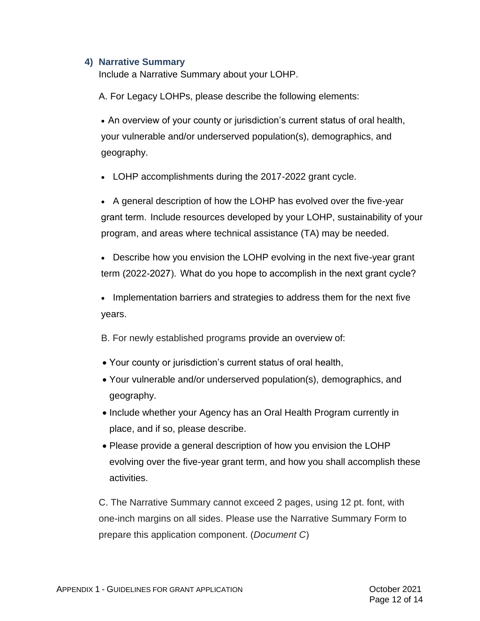## <span id="page-12-0"></span>**4) Narrative Summary**

Include a Narrative Summary about your LOHP.

A. For Legacy LOHPs, please describe the following elements:

• An overview of your county or jurisdiction's current status of oral health, your vulnerable and/or underserved population(s), demographics, and geography.

• LOHP accomplishments during the 2017-2022 grant cycle.

• A general description of how the LOHP has evolved over the five-year grant term.  Include resources developed by your LOHP, sustainability of your program, and areas where technical assistance (TA) may be needed.

• Describe how you envision the LOHP evolving in the next five-year grant term (2022-2027).  What do you hope to accomplish in the next grant cycle? 

• Implementation barriers and strategies to address them for the next five years.

B. For newly established programs provide an overview of:

- Your county or jurisdiction's current status of oral health,
- Your vulnerable and/or underserved population(s), demographics, and geography.
- Include whether your Agency has an Oral Health Program currently in place, and if so, please describe.
- Please provide a general description of how you envision the LOHP evolving over the five-year grant term, and how you shall accomplish these activities.

C. The Narrative Summary cannot exceed 2 pages, using 12 pt. font, with one-inch margins on all sides. Please use the Narrative Summary Form to prepare this application component. (*Document C*)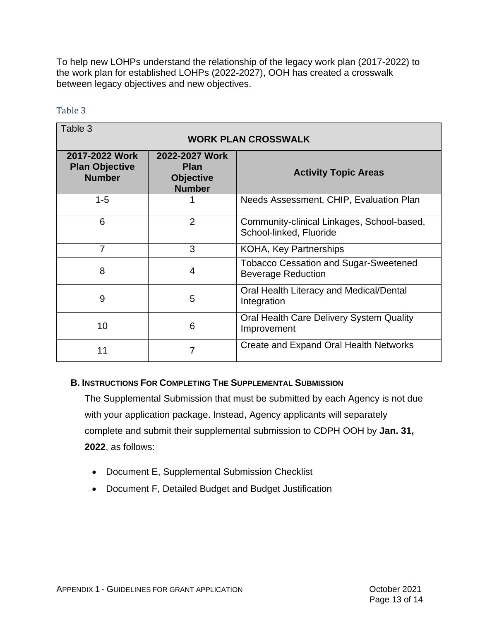To help new LOHPs understand the relationship of the legacy work plan (2017-2022) to the work plan for established LOHPs (2022-2027), OOH has created a crosswalk between legacy objectives and new objectives.

#### <span id="page-13-0"></span>Table 3

| Table 3                                                  |                                                                    |                                                                           |  |  |  |  |  |
|----------------------------------------------------------|--------------------------------------------------------------------|---------------------------------------------------------------------------|--|--|--|--|--|
| <b>WORK PLAN CROSSWALK</b>                               |                                                                    |                                                                           |  |  |  |  |  |
| 2017-2022 Work<br><b>Plan Objective</b><br><b>Number</b> | 2022-2027 Work<br><b>Plan</b><br><b>Objective</b><br><b>Number</b> | <b>Activity Topic Areas</b>                                               |  |  |  |  |  |
| $1 - 5$                                                  |                                                                    | Needs Assessment, CHIP, Evaluation Plan                                   |  |  |  |  |  |
| 6                                                        | $\overline{2}$                                                     | Community-clinical Linkages, School-based,<br>School-linked, Fluoride     |  |  |  |  |  |
| 7                                                        | 3                                                                  | <b>KOHA, Key Partnerships</b>                                             |  |  |  |  |  |
| 8                                                        | 4                                                                  | <b>Tobacco Cessation and Sugar-Sweetened</b><br><b>Beverage Reduction</b> |  |  |  |  |  |
| 9                                                        | 5                                                                  | Oral Health Literacy and Medical/Dental<br>Integration                    |  |  |  |  |  |
| 10                                                       | 6                                                                  | Oral Health Care Delivery System Quality<br>Improvement                   |  |  |  |  |  |
| 11                                                       | 7                                                                  | Create and Expand Oral Health Networks                                    |  |  |  |  |  |

## <span id="page-13-1"></span>**B. INSTRUCTIONS FOR COMPLETING THE SUPPLEMENTAL SUBMISSION**

The Supplemental Submission that must be submitted by each Agency is not due with your application package. Instead, Agency applicants will separately complete and submit their supplemental submission to CDPH OOH by **Jan. 31, 2022**, as follows:

- Document E, Supplemental Submission Checklist
- Document F, Detailed Budget and Budget Justification